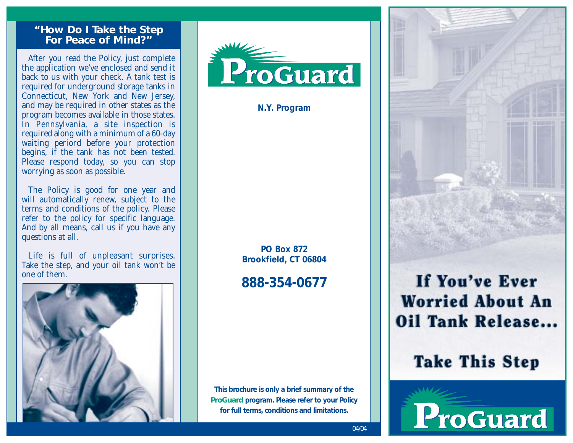#### **"How Do I Take the Step For Peace of Mind?"**

After you read the Policy, just complete the application we've enclosed and send it back to us with your check. A tank test is required for underground storage tanks in Connecticut, New York and New Jersey, and may be required in other states as the program becomes available in those states. In Pennsylvania, a site inspection is required along with a minimum of a 60-day waiting periord before your protection begins, if the tank has not been tested. Please respond today, so you can stop worrying as soon as possible.

The Policy is good for one year and will automatically renew, subject to the terms and conditions of the policy. Please refer to the policy for specific language. And by all means, call us if you have any questions at all.

Life is full of unpleasant surprises. Take the step, and your oil tank won't be one of them.





**N.Y. Program**

**PO Box 872 Brookfield, CT 06804**

**888-354-0677**

**This brochure is only a brief summary of the** *ProGuard* **program. Please refer to your Policy for full terms, conditions and limitations.**



## If You've Ever **Worried About An Oil Tank Release...**

# **Take This Step**